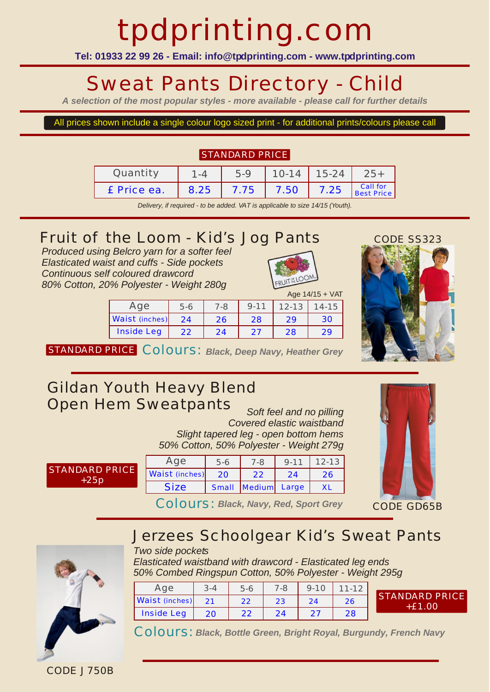# tpdprinting.com

**Tel: 01933 22 99 26 - Email: info@tpdprinting.com - www.tpdprinting.com**

### Sweat Pants Directory - Child

*A selection of the most popular styles - more available - please call for further details*

All prices shown include a single colour logo sized print - for additional prints/colours please call

#### STANDARD PRICE

| Quantity    |      | 5-9         | $10-14$ 15-24 |      |                        |
|-------------|------|-------------|---------------|------|------------------------|
| £ Price ea. | 8.25 | 7.75   7.50 |               | 7.25 | Call for<br>Best Price |

*Delivery, if required - to be added. VAT is applicable to size 14/15 (Youth).*

### *Fruit of the Loom - Kid's Jog Pants*

*Produced using Belcro yarn for a softer feel Elasticated waist and cuffs - Side pockets Continuous self coloured drawcord 80% Cotton, 20% Polyester - Weight 280g*



|                       |       |         |          |           | Age $14/15 + \text{VAT}$ |
|-----------------------|-------|---------|----------|-----------|--------------------------|
| Age                   | $5-6$ | $7 - 8$ | $9 - 11$ | $12 - 13$ | $14 - 15$                |
| <b>Waist (inches)</b> | 24    | 26      | 28       | 29        | 30                       |
| <b>Inside Leg</b>     | 22    | 24      | 27       | 28        | 29                       |



STANDARD PRICE COLOUIS: Black, Deep Navy, Heather Grey

### *Gildan Youth Heavy Blend Open Hem Sweatpants Soft feel and no pilling*

*Covered elastic waistband Slight tapered leg - open bottom hems 50% Cotton, 50% Polyester - Weight 279g*

| <b>STANDARD PRICE</b> |
|-----------------------|
| $+25p$                |

|  | Age                   | 5-6   | $7 - 8$      | $Q - 11$ | $12 - 13$ |
|--|-----------------------|-------|--------------|----------|-----------|
|  | <b>Waist (inches)</b> | 20    |              | 24       | , P       |
|  | <b>Size</b>           | Small | Medium Large |          |           |



Colours: *Black, Navy, Red, Sport Grey*

## *Jerzees Schoolgear Kid's Sweat Pants*



#### *Two side pockets Elasticated waistband with drawcord - Elasticated leg ends 50% Combed Ringspun Cotton, 50% Polyester - Weight 295g*

Age | 3-4 | 5-6 | 7-8 | 9-10 | 11-12 Waist (inches) Inside Leg 21 20 22 22 23 24 24 27 26 28

STANDARD PRICE +£1.00

Colours: *Black, Bottle Green, Bright Royal, Burgundy, French Navy*

CODE J750B